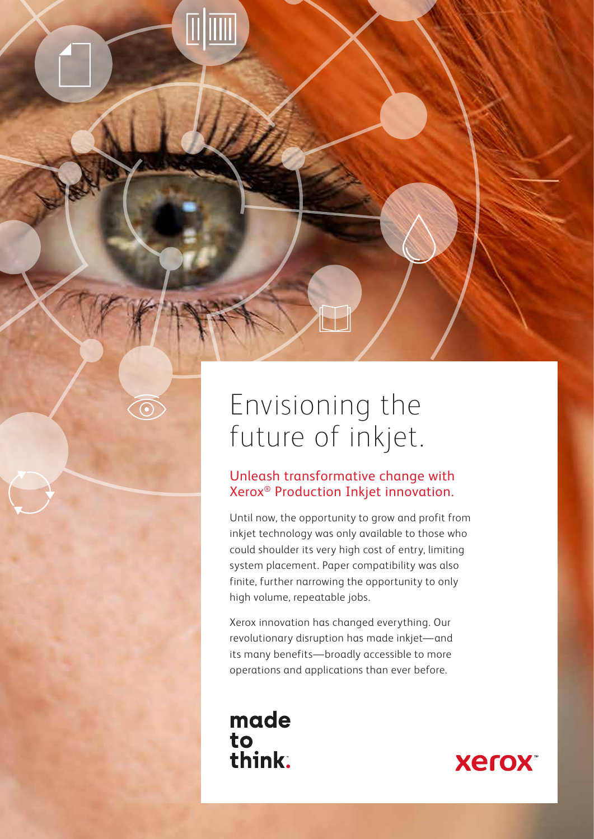### Envisioning the future of inkjet.

### Unleash transformative change with Xerox® Production Inkjet innovation.

Until now, the opportunity to grow and profit from inkjet technology was only available to those who could shoulder its very high cost of entry, limiting system placement. Paper compatibility was also finite, further narrowing the opportunity to only high volume, repeatable jobs.

Xerox innovation has changed everything. Our revolutionary disruption has made inkjet—and its many benefits—broadly accessible to more operations and applications than ever before.

### made to<br>think.

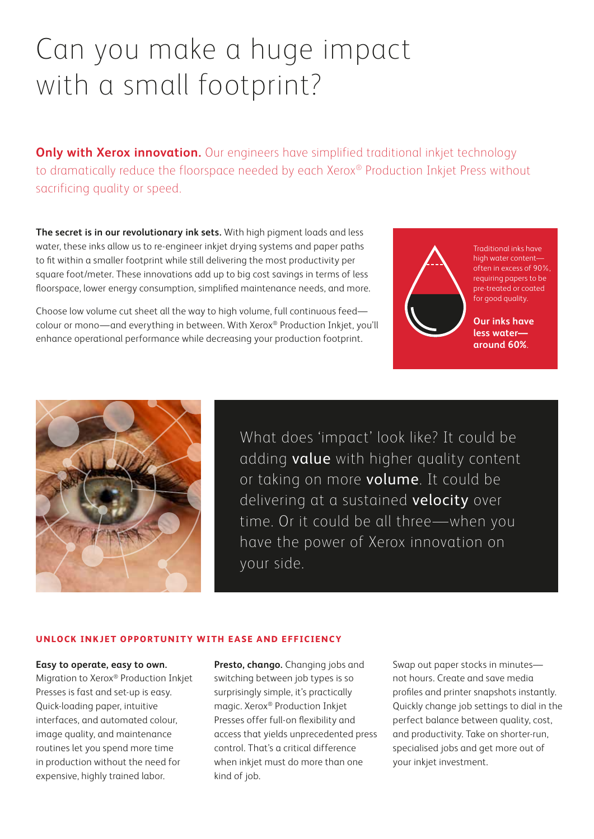## Can you make a huge impact with a small footprint?

**Only with Xerox innovation.** Our engineers have simplified traditional inkjet technology to dramatically reduce the floorspace needed by each Xerox® Production Inkjet Press without sacrificing quality or speed.

**The secret is in our revolutionary ink sets.** With high pigment loads and less water, these inks allow us to re-engineer inkjet drying systems and paper paths to fit within a smaller footprint while still delivering the most productivity per square foot/meter. These innovations add up to big cost savings in terms of less floorspace, lower energy consumption, simplified maintenance needs, and more.

Choose low volume cut sheet all the way to high volume, full continuous feed colour or mono—and everything in between. With Xerox® Production Inkjet, you'll enhance operational performance while decreasing your production footprint.



Traditional inks have high water content often in excess of 90%, requiring papers to be pre-treated or coated for good quality.

**Our inks have less water around 60%**.



What does 'impact' look like? It could be adding **value** with higher quality content or taking on more volume. It could be delivering at a sustained velocity over time. Or it could be all three—when you have the power of Xerox innovation on your side.

#### **UNLOCK INKJET OPPORTUNITY WITH EASE AND EFFICIENCY**

**Easy to operate, easy to own.**  Migration to Xerox® Production Inkjet Presses is fast and set-up is easy. Quick-loading paper, intuitive interfaces, and automated colour, image quality, and maintenance routines let you spend more time in production without the need for expensive, highly trained labor.

**Presto, chango.** Changing jobs and switching between job types is so surprisingly simple, it's practically magic. Xerox® Production Inkjet Presses offer full-on flexibility and access that yields unprecedented press control. That's a critical difference when inkjet must do more than one kind of job.

Swap out paper stocks in minutes not hours. Create and save media profiles and printer snapshots instantly. Quickly change job settings to dial in the perfect balance between quality, cost, and productivity. Take on shorter-run, specialised jobs and get more out of your inkjet investment.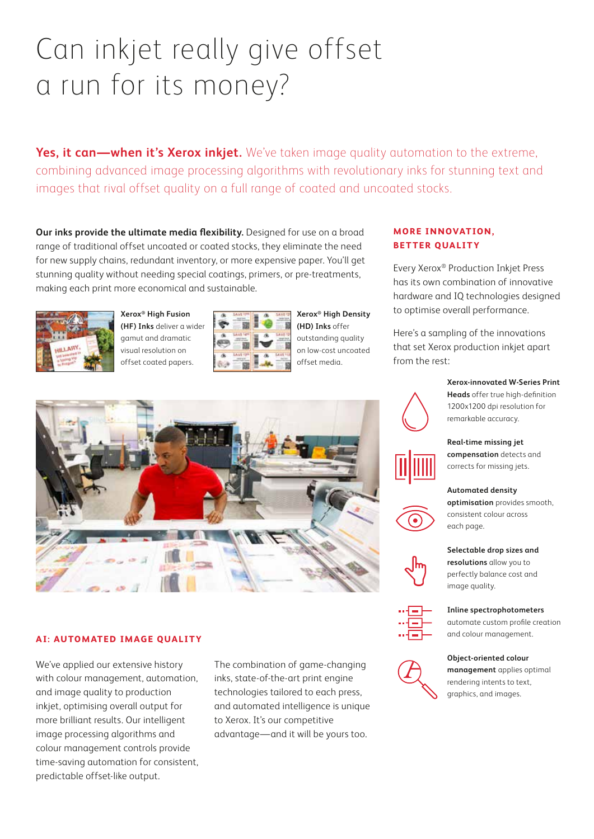## Can inkjet really give offset a run for its money?

**Yes, it can—when it's Xerox inkjet.** We've taken image quality automation to the extreme, combining advanced image processing algorithms with revolutionary inks for stunning text and images that rival offset quality on a full range of coated and uncoated stocks.

**Our inks provide the ultimate media flexibility.** Designed for use on a broad range of traditional offset uncoated or coated stocks, they eliminate the need for new supply chains, redundant inventory, or more expensive paper. You'll get stunning quality without needing special coatings, primers, or pre-treatments, making each print more economical and sustainable.



**Xerox® High Fusion (HF) Inks** deliver a wider gamut and dramatic visual resolution on offset coated papers.



**Xerox® High Density (HD) Inks** offer outstanding quality on low-cost uncoated offset media.



#### **AI: AUTOMATED IMAGE QUALITY**

We've applied our extensive history with colour management, automation, and image quality to production inkjet, optimising overall output for more brilliant results. Our intelligent image processing algorithms and colour management controls provide time-saving automation for consistent, predictable offset-like output.

The combination of game-changing inks, state-of-the-art print engine technologies tailored to each press, and automated intelligence is unique to Xerox. It's our competitive advantage—and it will be yours too.

### **MORE INNOVAT ION, BETTER QUALITY**

Every Xerox® Production Inkjet Press has its own combination of innovative hardware and IQ technologies designed to optimise overall performance.

Here's a sampling of the innovations that set Xerox production inkjet apart from the rest:



**Xerox-innovated W-Series Print Heads** offer true high-definition 1200x1200 dpi resolution for remarkable accuracy.



**Real-time missing jet compensation** detects and corrects for missing jets.

#### **Automated density**



**optimisation** provides smooth, consistent colour across each page.

**Selectable drop sizes and resolutions** allow you to perfectly balance cost and image quality.



**Inline spectrophotometers**  automate custom profile creation

and colour management.



**Object-oriented colour management** applies optimal rendering intents to text, graphics, and images.